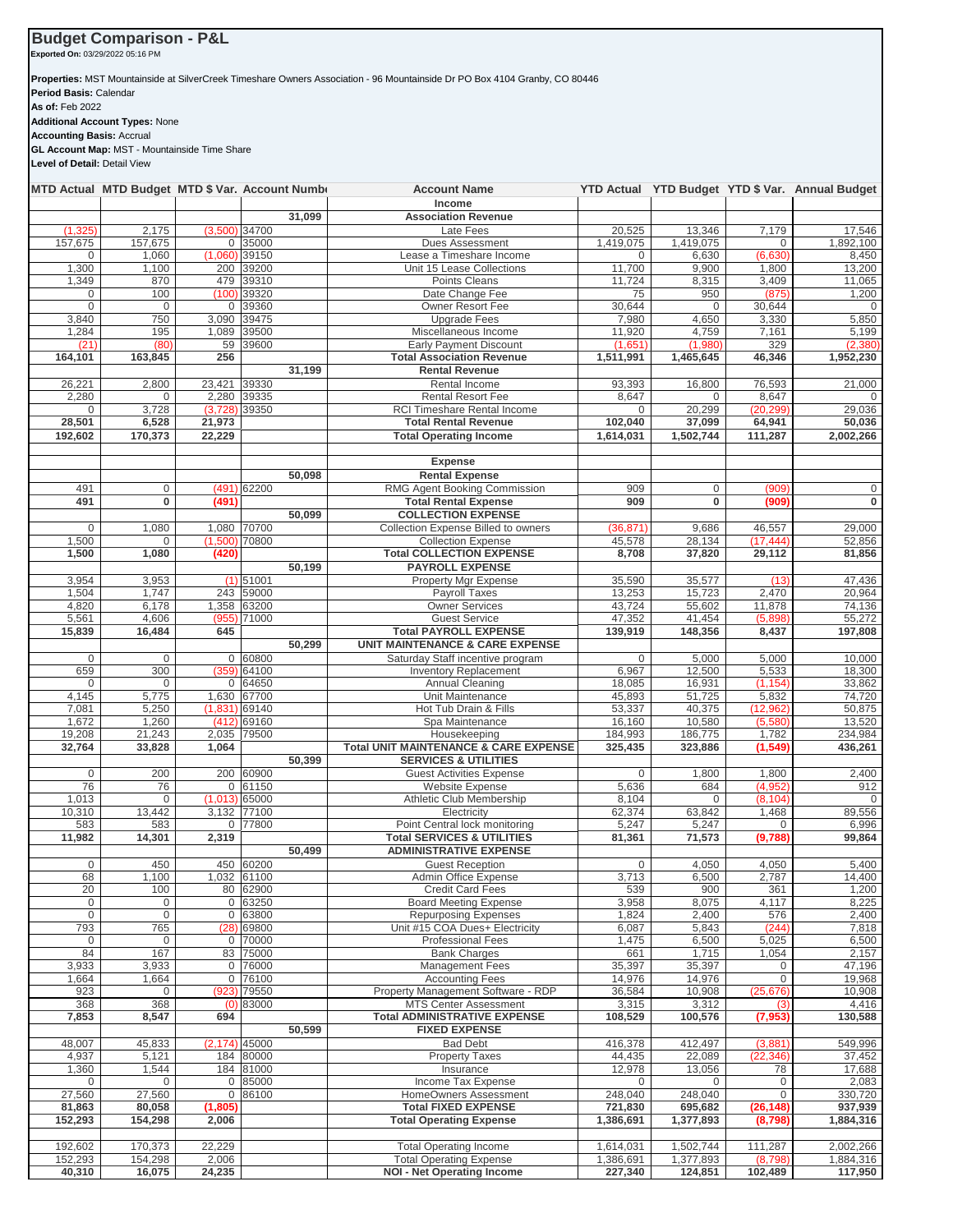## **Budget Comparison - P&L**

**Exported On:** 03/29/2022 05:16 PM

**Properties:** MST Mountainside at SilverCreek Timeshare Owners Association - 96 Mountainside Dr PO Box 4104 Granby, CO 80446 **Period Basis:** Calendar **As of:** Feb 2022 **Additional Account Types:** None

**Accounting Basis:** Accrual **GL Account Map:** MST - Mountainside Time Share **Level of Detail:** Detail View

|                          | MTD Actual MTD Budget MTD \$ Var. Account Number |          |                                | <b>Account Name</b><br>Income                                      |                    |                     |                          | YTD Actual YTD Budget YTD \$ Var. Annual Budget |
|--------------------------|--------------------------------------------------|----------|--------------------------------|--------------------------------------------------------------------|--------------------|---------------------|--------------------------|-------------------------------------------------|
|                          |                                                  |          | 31,099                         | <b>Association Revenue</b>                                         |                    |                     |                          |                                                 |
| (1, 325)                 | 2,175                                            |          | $(3,500)$ 34700                | Late Fees                                                          | 20,525             | 13,346              | 7,179                    | 17.546                                          |
| 157,675                  | 157,675                                          |          | 0 35000                        | Dues Assessment                                                    | 1,419,075          | 1,419,075           | 0                        | 1,892,100                                       |
| $\mathbf 0$              | 1,060                                            |          | $(1,060)$ 39150                | Lease a Timeshare Income                                           | 0                  | 6,630               | (6,630)                  | 8,450                                           |
| 1,300<br>1,349           | 1,100<br>870                                     |          | 200 39200<br>479 39310         | Unit 15 Lease Collections<br>Points Cleans                         | 11,700<br>11,724   | 9,900<br>8,315      | 1,800<br>3,409           | 13,200<br>11,065                                |
| $\mathbf 0$              | 100                                              |          | $(100)$ 39320                  | Date Change Fee                                                    | 75                 | 950                 | (875)                    | 1,200                                           |
| $\mathbf{0}$             | $\mathbf 0$                                      |          | 0 39360                        | Owner Resort Fee                                                   | 30,644             | $\mathbf{0}$        | 30,644                   | $\mathbf 0$                                     |
| 3,840                    | 750                                              | 3,090    | 39475                          | <b>Upgrade Fees</b>                                                | 7,980              | 4,650               | 3,330                    | 5,850                                           |
| 1,284                    | 195                                              | 1,089    | 39500                          | Miscellaneous Income                                               | 11,920             | 4,759               | 7,161                    | 5,199                                           |
| (21)                     | (80)                                             | 59       | 39600                          | <b>Early Payment Discount</b>                                      | (1,651)            | (1,980)             | 329                      | (2,380)                                         |
| 164,101                  | 163.845                                          | 256      | 31,199                         | <b>Total Association Revenue</b><br><b>Rental Revenue</b>          | 1,511,991          | 1,465,645           | 46,346                   | 1,952,230                                       |
| 26,221                   | 2,800                                            | 23,421   | 39330                          | Rental Income                                                      | 93,393             | 16,800              | 76,593                   | 21,000                                          |
| 2,280                    | 0                                                | 2,280    | 39335                          | <b>Rental Resort Fee</b>                                           | 8,647              | 0                   | 8,647                    |                                                 |
| $\mathbf{0}$             | 3,728                                            | (3,728)  | 39350                          | <b>RCI Timeshare Rental Income</b>                                 | $\Omega$           | 20,299              | (20, 299)                | 29,036                                          |
| 28,501                   | 6,528                                            | 21,973   |                                | <b>Total Rental Revenue</b>                                        | 102,040            | 37,099              | 64,941                   | 50,036                                          |
| 192,602                  | 170,373                                          | 22,229   |                                | <b>Total Operating Income</b>                                      | 1,614,031          | 1,502,744           | 111,287                  | 2,002,266                                       |
|                          |                                                  |          |                                |                                                                    |                    |                     |                          |                                                 |
|                          |                                                  |          |                                | <b>Expense</b>                                                     |                    |                     |                          |                                                 |
| 491                      |                                                  |          | 50,098                         | <b>Rental Expense</b><br>RMG Agent Booking Commission              |                    |                     |                          | $\mathbf 0$                                     |
| 491                      | 0<br>0                                           | (491)    | $(491)$ 62200                  | <b>Total Rental Expense</b>                                        | 909<br>909         | 0<br>$\overline{0}$ | (909)<br>(909)           | 0                                               |
|                          |                                                  |          | 50,099                         | <b>COLLECTION EXPENSE</b>                                          |                    |                     |                          |                                                 |
| $\mathsf{O}\xspace$      | 1,080                                            | 1,080    | 70700                          | Collection Expense Billed to owners                                | (36, 871)          | 9,686               | 46,557                   | 29,000                                          |
| 1,500                    | 0                                                |          | $(1,500)$ 70800                | <b>Collection Expense</b>                                          | 45,578             | 28,134              | (17, 444)                | 52,856                                          |
| 1,500                    | 1,080                                            | (420)    |                                | <b>Total COLLECTION EXPENSE</b>                                    | 8,708              | 37.820              | 29,112                   | 81,856                                          |
|                          |                                                  |          | 50,199                         | <b>PAYROLL EXPENSE</b>                                             |                    |                     |                          |                                                 |
| 3,954                    | 3,953                                            |          | (1) 51001                      | Property Mgr Expense                                               | 35,590             | 35,577              | (13)                     | 47,436                                          |
| 1,504<br>4,820           | 1,747<br>6,178                                   | 243      | 59000<br>1.358 63200           | Payroll Taxes<br><b>Owner Services</b>                             | 13,253<br>43,724   | 15,723<br>55,602    | 2,470<br>11,878          | 20.964<br>74,136                                |
| 5,561                    | 4,606                                            |          | $(955)$ 71000                  | <b>Guest Service</b>                                               | 47,352             | 41,454              | (5,898)                  | 55,272                                          |
| 15,839                   | 16,484                                           | 645      |                                | <b>Total PAYROLL EXPENSE</b>                                       | 139,919            | 148,356             | 8,437                    | 197,808                                         |
|                          |                                                  |          | 50,299                         | <b>UNIT MAINTENANCE &amp; CARE EXPENSE</b>                         |                    |                     |                          |                                                 |
| $\mathbf{0}$             | $\mathbf 0$                                      |          | 0 60800                        | Saturday Staff incentive program                                   | $\mathbf 0$        | 5,000               | 5,000                    | 10,000                                          |
| 659                      | 300                                              |          | (359) 64100                    | <b>Inventory Replacement</b>                                       | 6,967              | 12,500              | 5,533                    | 18,300                                          |
| 0                        | 0                                                |          | 0 64650                        | <b>Annual Cleaning</b>                                             | 18,085             | 16,931              | (1, 154)                 | 33,862                                          |
| 4,145<br>7,081           | 5,775<br>5,250                                   |          | 1,630 67700<br>$(1,831)$ 69140 | Unit Maintenance<br>Hot Tub Drain & Fills                          | 45,893<br>53,337   | 51,725<br>40,375    | 5,832<br>(12, 962)       | 74,720<br>50,875                                |
| 1,672                    | 1,260                                            |          | $(412)$ 69160                  | Spa Maintenance                                                    | 16,160             | 10,580              | (5,580)                  | 13,520                                          |
| 19,208                   | 21,243                                           |          | 2,035 79500                    | Housekeeping                                                       | 184,993            | 186,775             | 1,782                    | 234,984                                         |
| 32,764                   | 33,828                                           | 1,064    |                                | <b>Total UNIT MAINTENANCE &amp; CARE EXPENSE</b>                   | 325,435            | 323,886             | (1, 549)                 | 436,261                                         |
|                          |                                                  |          | 50,399                         | <b>SERVICES &amp; UTILITIES</b>                                    |                    |                     |                          |                                                 |
| $\mathbf 0$              | 200                                              |          | 200 60900                      | <b>Guest Activities Expense</b>                                    | 0                  | 1,800               | 1,800                    | 2,400                                           |
| 76                       | 76<br>$\mathbf 0$                                |          | 0 61150<br>$(1,013)$ 65000     | <b>Website Expense</b>                                             | 5,636              | 684<br>$\mathbf 0$  | (4,952)<br>(8, 104)      | 912                                             |
| 1,013<br>10,310          | 13,442                                           |          | 3,132 77100                    | Athletic Club Membership<br>Electricity                            | 8,104<br>62,374    | 63,842              | 1,468                    | 0<br>89,556                                     |
| 583                      | 583                                              |          | 0 77800                        | Point Central lock monitoring                                      | 5,247              | 5,247               | $\mathbf 0$              | 6,996                                           |
| 11,982                   | 14,301                                           | 2,319    |                                | <b>Total SERVICES &amp; UTILITIES</b>                              | 81,361             | 71.573              | (9,788)                  | 99,864                                          |
|                          |                                                  |          | 50,499                         | <b>ADMINISTRATIVE EXPENSE</b>                                      |                    |                     |                          |                                                 |
| 0                        | 450                                              |          | 450 60200                      | <b>Guest Reception</b>                                             | 0                  | 4,050               | 4,050                    | 5,400                                           |
| 68                       | 1,100                                            |          | 1,032 61100                    | Admin Office Expense                                               | 3,713              | 6,500               | 2,787                    | 14,400                                          |
| 20                       | 100                                              |          | 80 62900                       | <b>Credit Card Fees</b>                                            | 539                | 900<br>8,075        | 361                      | 1,200                                           |
| 0<br>$\mathsf{O}\xspace$ | 0<br>$\overline{0}$                              |          | 0 63250<br>0 63800             | <b>Board Meeting Expense</b><br><b>Repurposing Expenses</b>        | 3,958<br>1,824     | 2,400               | 4,117<br>576             | 8,225<br>2,400                                  |
| 793                      | 765                                              |          | $(28)$ 69800                   | Unit #15 COA Dues+ Electricity                                     | 6,087              | 5,843               | (244)                    | 7,818                                           |
| 0                        | 0                                                |          | 0 70000                        | <b>Professional Fees</b>                                           | 1,475              | 6,500               | 5,025                    | 6,500                                           |
| 84                       | 167                                              |          | 83 75000                       | <b>Bank Charges</b>                                                | 661                | 1,715               | 1,054                    | 2,157                                           |
| 3,933                    | 3,933                                            |          | 0 76000                        | <b>Management Fees</b>                                             | 35,397             | 35,397              | 0                        | 47,196                                          |
| 1,664                    | 1,664                                            |          | 0 76100                        | <b>Accounting Fees</b>                                             | 14,976             | 14,976              | $\mathbf 0$              | 19,968                                          |
| 923<br>368               | 0<br>368                                         |          | (923) 79550<br>$(0)$ 83000     | Property Management Software - RDP<br><b>MTS Center Assessment</b> | 36,584<br>3,315    | 10,908<br>3,312     | (25, 676)<br>(3)         | 10,908<br>4,416                                 |
| 7,853                    | 8,547                                            | 694      |                                | <b>Total ADMINISTRATIVE EXPENSE</b>                                | 108,529            | 100,576             | (7, 953)                 | 130,588                                         |
|                          |                                                  |          | 50,599                         | <b>FIXED EXPENSE</b>                                               |                    |                     |                          |                                                 |
| 48,007                   | 45,833                                           |          | $(2, 174)$ 45000               | <b>Bad Debt</b>                                                    | 416,378            | 412,497             | (3,881)                  | 549,996                                         |
| 4,937                    | 5,121                                            |          | 184 80000                      | <b>Property Taxes</b>                                              | 44,435             | 22,089              | (22, 346)                | 37,452                                          |
| 1,360                    | 1,544                                            |          | 184 81000                      | Insurance                                                          | 12,978             | 13,056              | 78                       | 17,688                                          |
| $\mathbf 0$              | 0                                                |          | 0 85000                        | Income Tax Expense                                                 | 0                  | $\mathbf 0$         | 0                        | 2,083                                           |
| 27,560<br>81,863         | 27,560<br>80,058                                 | (1, 805) | 0 86100                        | HomeOwners Assessment<br><b>Total FIXED EXPENSE</b>                | 248,040<br>721,830 | 248,040<br>695,682  | $\mathbf 0$<br>(26, 148) | 330,720<br>937,939                              |
| 152,293                  | 154,298                                          | 2,006    |                                | <b>Total Operating Expense</b>                                     | 1,386,691          | 1,377,893           | (8,798)                  | 1,884,316                                       |
|                          |                                                  |          |                                |                                                                    |                    |                     |                          |                                                 |
| 192,602                  | 170,373                                          | 22,229   |                                | <b>Total Operating Income</b>                                      | 1,614,031          | 1,502,744           | 111,287                  | 2,002,266                                       |
| 152,293                  | 154,298                                          | 2,006    |                                | <b>Total Operating Expense</b>                                     | 1,386,691          | 1,377,893           | (8,798)                  | 1,884,316                                       |
| 40,310                   | 16,075                                           | 24,235   |                                | <b>NOI - Net Operating Income</b>                                  | 227,340            | 124,851             | 102,489                  | 117,950                                         |